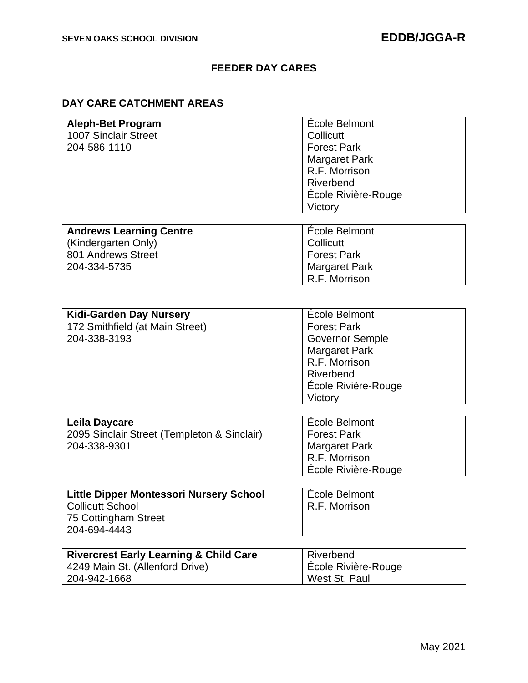## **FEEDER DAY CARES**

## **DAY CARE CATCHMENT AREAS**

| <b>Aleph-Bet Program</b> | École Belmont        |
|--------------------------|----------------------|
| 1007 Sinclair Street     | Collicutt            |
| 204-586-1110             | <b>Forest Park</b>   |
|                          | <b>Margaret Park</b> |
|                          | R.F. Morrison        |
|                          | Riverbend            |
|                          | École Rivière-Rouge  |
|                          | Victory              |
|                          |                      |

| <b>Andrews Learning Centre</b> | Ecole Belmont        |
|--------------------------------|----------------------|
| Kindergarten Only)             | Collicutt            |
| 801 Andrews Street             | Forest Park          |
| 204-334-5735                   | <b>Margaret Park</b> |
|                                | R.F. Morrison        |

| <b>Kidi-Garden Day Nursery</b>  | École Belmont          |
|---------------------------------|------------------------|
| 172 Smithfield (at Main Street) | <b>Forest Park</b>     |
| 204-338-3193                    | <b>Governor Semple</b> |
|                                 | <b>Margaret Park</b>   |
|                                 | R.F. Morrison          |
|                                 | Riverbend              |
|                                 | Ecole Rivière-Rouge    |
|                                 | Victory                |

| Leila Daycare                               | Ecole Belmont        |
|---------------------------------------------|----------------------|
| 2095 Sinclair Street (Templeton & Sinclair) | <b>Forest Park</b>   |
| 204-338-9301                                | <b>Margaret Park</b> |
|                                             | R.F. Morrison        |
|                                             | Ecole Rivière-Rouge  |

| Little Dipper Montessori Nursery School | <b>École Belmont</b> |
|-----------------------------------------|----------------------|
| Collicutt School                        | R.F. Morrison        |
| 75 Cottingham Street                    |                      |
| 204-694-4443                            |                      |

| <b>Rivercrest Early Learning &amp; Child Care</b> | Riverbend           |
|---------------------------------------------------|---------------------|
| 4249 Main St. (Allenford Drive)                   | Ecole Rivière-Rouge |
| 204-942-1668                                      | West St. Paul       |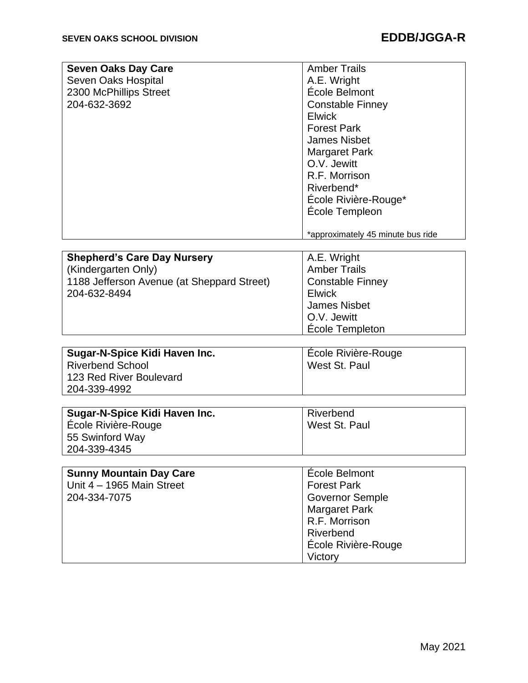| <b>Seven Oaks Day Care</b> | <b>Amber Trails</b>               |
|----------------------------|-----------------------------------|
| Seven Oaks Hospital        | A.E. Wright                       |
| 2300 McPhillips Street     | École Belmont                     |
| 204-632-3692               | <b>Constable Finney</b>           |
|                            | <b>Elwick</b>                     |
|                            | <b>Forest Park</b>                |
|                            | <b>James Nisbet</b>               |
|                            | <b>Margaret Park</b>              |
|                            | O.V. Jewitt                       |
|                            | R.F. Morrison                     |
|                            | Riverbend*                        |
|                            | École Rivière-Rouge*              |
|                            | École Templeon                    |
|                            |                                   |
|                            | *approximately 45 minute bus ride |

| <b>Shepherd's Care Day Nursery</b>         | A.E. Wright             |
|--------------------------------------------|-------------------------|
| (Kindergarten Only)                        | <b>Amber Trails</b>     |
| 1188 Jefferson Avenue (at Sheppard Street) | <b>Constable Finney</b> |
| 204-632-8494                               | <b>Elwick</b>           |
|                                            | <b>James Nisbet</b>     |
|                                            | O.V. Jewitt             |
|                                            | École Templeton         |

| Sugar-N-Spice Kidi Haven Inc. | Ecole Rivière-Rouge |
|-------------------------------|---------------------|
| Riverbend School              | West St. Paul       |
| 123 Red River Boulevard       |                     |
| 204-339-4992                  |                     |

| Sugar-N-Spice Kidi Haven Inc. | Riverbend     |
|-------------------------------|---------------|
| École Rivière-Rouge           | West St. Paul |
| 55 Swinford Way               |               |
| 204-339-4345                  |               |

| École Belmont              |
|----------------------------|
| <b>Forest Park</b>         |
| <b>Governor Semple</b>     |
| <b>Margaret Park</b>       |
| R.F. Morrison              |
| Riverbend                  |
| <b>École Rivière-Rouge</b> |
| Victory                    |
|                            |